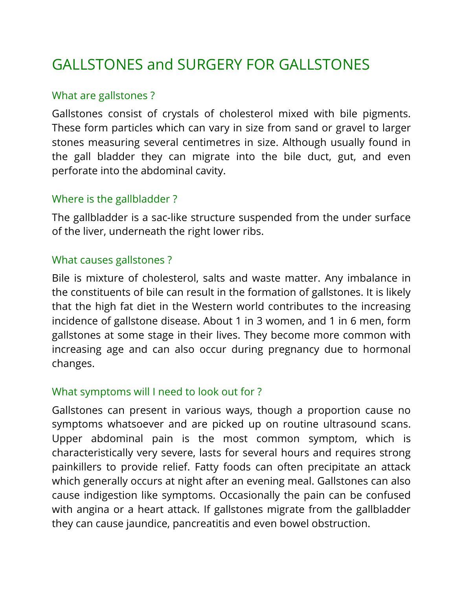# GALLSTONES and SURGERY FOR GALLSTONES

## What are gallstones ?

Gallstones consist of crystals of cholesterol mixed with bile pigments. These form particles which can vary in size from sand or gravel to larger stones measuring several centimetres in size. Although usually found in the gall bladder they can migrate into the bile duct, gut, and even perforate into the abdominal cavity.

## Where is the gallbladder ?

The gallbladder is a sac-like structure suspended from the under surface of the liver, underneath the right lower ribs.

## What causes gallstones ?

Bile is mixture of cholesterol, salts and waste matter. Any imbalance in the constituents of bile can result in the formation of gallstones. It is likely that the high fat diet in the Western world contributes to the increasing incidence of gallstone disease. About 1 in 3 women, and 1 in 6 men, form gallstones at some stage in their lives. They become more common with increasing age and can also occur during pregnancy due to hormonal changes.

## What symptoms will I need to look out for ?

Gallstones can present in various ways, though a proportion cause no symptoms whatsoever and are picked up on routine ultrasound scans. Upper abdominal pain is the most common symptom, which is characteristically very severe, lasts for several hours and requires strong painkillers to provide relief. Fatty foods can often precipitate an attack which generally occurs at night after an evening meal. Gallstones can also cause indigestion like symptoms. Occasionally the pain can be confused with angina or a heart attack. If gallstones migrate from the gallbladder they can cause jaundice, pancreatitis and even bowel obstruction.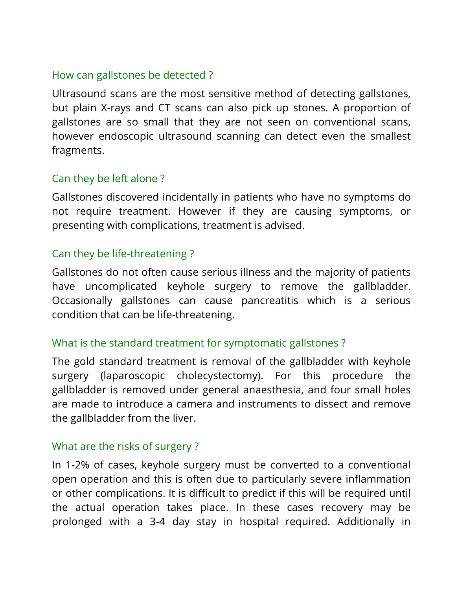## How can gallstones be detected ?

Ultrasound scans are the most sensitive method of detecting gallstones, but plain X-rays and CT scans can also pick up stones. A proportion of gallstones are so small that they are not seen on conventional scans, however endoscopic ultrasound scanning can detect even the smallest fragments.

# Can they be left alone ?

Gallstones discovered incidentally in patients who have no symptoms do not require treatment. However if they are causing symptoms, or presenting with complications, treatment is advised.

## Can they be life-threatening ?

Gallstones do not often cause serious illness and the majority of patients have uncomplicated keyhole surgery to remove the gallbladder. Occasionally gallstones can cause pancreatitis which is a serious condition that can be life-threatening.

## What is the standard treatment for symptomatic gallstones ?

The gold standard treatment is removal of the gallbladder with keyhole surgery (laparoscopic cholecystectomy). For this procedure the gallbladder is removed under general anaesthesia, and four small holes are made to introduce a camera and instruments to dissect and remove the gallbladder from the liver.

## What are the risks of surgery ?

In 1-2% of cases, keyhole surgery must be converted to a conventional open operation and this is often due to particularly severe inflammation or other complications. It is difficult to predict if this will be required until the actual operation takes place. In these cases recovery may be prolonged with a 3-4 day stay in hospital required. Additionally in